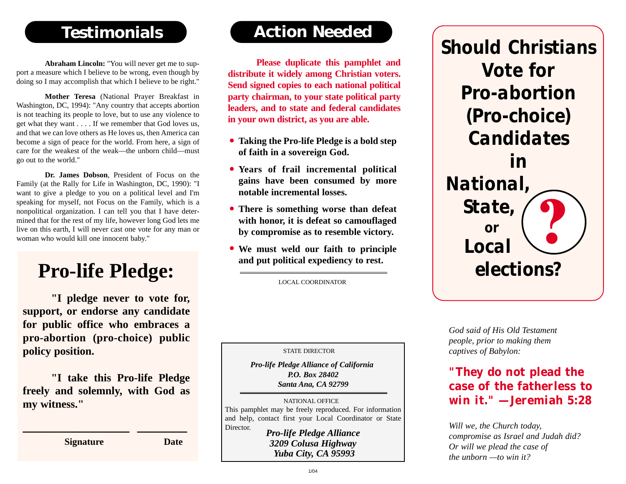## **Testimonials**

**Abraham Lincoln:** "You will never get me to support a measure which I believe to be wrong, even though by doing so I may accomplish that which I believe to be right."

**Mother Teresa** (National Prayer Breakfast in Washington, DC, 1994): "Any country that accepts abortion is not teaching its people to love, but to use any violence to get what they want . . . . If we remember that God loves us, and that we can love others as He loves us, then America can become a sign of peace for the world. From here, a sign of care for the weakest of the weak—the unborn child—must go out to the world."

**Dr. James Dobson**, President of Focus on the Family (at the Rally for Life in Washington, DC, 1990): "I want to give a pledge to you on a political level and I'm speaking for myself, not Focus on the Family, which is a nonpolitical organization. I can tell you that I have determined that for the rest of my life, however long God lets me live on this earth, I will never cast one vote for any man or woman who would kill one innocent baby."

# **Pro-life Pledge:**

**"I pledge never to vote for, support, or endorse any candidate for public office who embraces a pro-abortion (pro-choice) public policy position.**

**"I take this Pro-life Pledge freely and solemnly, with God as my witness."**

**\_\_\_\_\_\_\_\_\_\_\_\_\_\_\_ \_\_\_\_\_\_\_**

**Signature Date**

## **Action Needed**

**Please duplicate this pamphlet and distribute it widely among Christian voters. Send signed copies to each national political party chairman, to your state political party leaders, and to state and federal candidates in your own district, as you are able.**

- **Taking the Pro-life Pledge is a bold step • of faith in a sovereign God.**
- **Years of frail incremental political • gains have been consumed by more notable incremental losses.**
- **There is something worse than defeat • with honor, it is defeat so camouflaged by compromise as to resemble victory.**
- **We must weld our faith to principle • and put political expediency to rest.**

LOCAL COORDINATOR

STATE DIRECTOR

*Pro-life Pledge Alliance of California P.O. Box 28402 Santa Ana, CA 92799*

NATIONAL OFFICE This pamphlet may be freely reproduced. For information and help, contact first your Local Coordinator or State Director. *Pro-life Pledge Alliance*

*3209 Colusa Highway Yuba City, CA 95993*



*God said of His Old Testament people, prior to making them captives of Babylon:*

#### *"They do not plead the case of the fatherless to win it." —Jeremiah 5:28*

*Will we, the Church today, compromise as Israel and Judah did? Or will we plead the case of the unborn —to win it?*